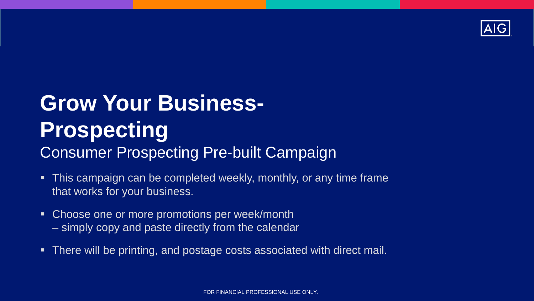

## **Grow Your Business-Prospecting**  Consumer Prospecting Pre-built Campaign

- This campaign can be completed weekly, monthly, or any time frame that works for your business.
- Choose one or more promotions per week/month – simply copy and paste directly from the calendar
- There will be printing, and postage costs associated with direct mail.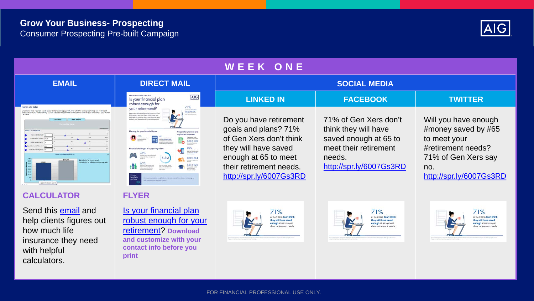

| WEEK ONE                                                                                                                                                                                                                                                                                                                                                                                                                                                                                                                                                                                                                                                                                                                                                                                                            |                                                                                                                                                                                                                                                                                                                                                                                                                                                                                                                                                                                                                                                                                                                                                                                                                                                                                                                                                                                                                                                                                                                                                                                                                                                                                                                                                                                                                                                                                                                                                                                                                                 |                                                                                                                                                                                 |                                                                                                                                      |                                                                                                                                            |
|---------------------------------------------------------------------------------------------------------------------------------------------------------------------------------------------------------------------------------------------------------------------------------------------------------------------------------------------------------------------------------------------------------------------------------------------------------------------------------------------------------------------------------------------------------------------------------------------------------------------------------------------------------------------------------------------------------------------------------------------------------------------------------------------------------------------|---------------------------------------------------------------------------------------------------------------------------------------------------------------------------------------------------------------------------------------------------------------------------------------------------------------------------------------------------------------------------------------------------------------------------------------------------------------------------------------------------------------------------------------------------------------------------------------------------------------------------------------------------------------------------------------------------------------------------------------------------------------------------------------------------------------------------------------------------------------------------------------------------------------------------------------------------------------------------------------------------------------------------------------------------------------------------------------------------------------------------------------------------------------------------------------------------------------------------------------------------------------------------------------------------------------------------------------------------------------------------------------------------------------------------------------------------------------------------------------------------------------------------------------------------------------------------------------------------------------------------------|---------------------------------------------------------------------------------------------------------------------------------------------------------------------------------|--------------------------------------------------------------------------------------------------------------------------------------|--------------------------------------------------------------------------------------------------------------------------------------------|
| <b>EMAIL</b>                                                                                                                                                                                                                                                                                                                                                                                                                                                                                                                                                                                                                                                                                                                                                                                                        | <b>DIRECT MAIL</b>                                                                                                                                                                                                                                                                                                                                                                                                                                                                                                                                                                                                                                                                                                                                                                                                                                                                                                                                                                                                                                                                                                                                                                                                                                                                                                                                                                                                                                                                                                                                                                                                              | <b>SOCIAL MEDIA</b>                                                                                                                                                             |                                                                                                                                      |                                                                                                                                            |
|                                                                                                                                                                                                                                                                                                                                                                                                                                                                                                                                                                                                                                                                                                                                                                                                                     | GENERATION 3: BORN 1965-1979<br>AIG<br>Is your financial plan<br>robust enough for                                                                                                                                                                                                                                                                                                                                                                                                                                                                                                                                                                                                                                                                                                                                                                                                                                                                                                                                                                                                                                                                                                                                                                                                                                                                                                                                                                                                                                                                                                                                              | <b>LINKED IN</b>                                                                                                                                                                | <b>FACEBOOK</b>                                                                                                                      | <b>TWITTER</b>                                                                                                                             |
| Human Life Value<br>the of your most important assets is your ability to earn a paychock. This calculator is designed to help you understand<br>oday's value of your future earning. Use this calculator to determine your economic value for your lowed ones. your Huma<br>Calculate<br><b>View Report</b><br>Human Like Value<br>Human Life Valoe Inputs<br>Current armuel inviting 1 Lice car<br>Torken on Wandlington<br>pected annual infailum tale<br>Experient in roma consults<br>100 852 as banclocates subtly<br>Adjusted for income growth<br>Adjusted for inflation and income growth<br>$\begin{array}{ll} \rule{0pt}{2.2ex} \frac{1}{2} & \frac{1}{2} & \frac{1}{2} & \frac{1}{2} \\ \rule{0pt}{2.2ex} \frac{1}{2} & \frac{1}{2} & \frac{1}{2} & \frac{1}{2} \end{array}$<br>Adjusted for income grow | 71%<br>your refirement?<br>of Gris National Ave 1 1934<br>they will have saved<br>new of it is reason<br>Help ensure a financially bealthy retirement, We<br>California of country<br>life insurance sou don't have to die to use, you<br>have flexibility that can help meet financial needs<br>for beth your planned and unplanned expenses.<br>Planning for your financial future<br>Prepare for planned and<br>unplanned expenses<br>\$285,000<br>$\alpha$<br>Class flash are self-look at the polynomial $\alpha$<br>$\begin{array}{l} \displaystyle {\text{SON}_0}\\ \text{of some solution from}\\ \text{infty, the system of the model}\\ \text{and the values from the model}\\ \text{to the two two-} \end{array}$<br>Financial challenges of supporting other<br>$\begin{array}{l} 76\% \\ \text{of every which are not fractionally} \\ \text{in a point is not than part in} \end{array}$<br>5.5M<br>\$202,284<br>$\begin{array}{l} \mathfrak{H}_{\mathbf{S}}\mathfrak{S}'_{\mathbf{S}}\\ \mathfrak{F}_{\mathbf{S}}\mathfrak{S}_{\mathbf{S}}\mathfrak{S}_{\mathbf{S}}\\ \mathfrak{R}_{\mathbf{S}}\mathfrak{S}_{\mathbf{S}}\mathfrak{S}_{\mathbf{S}}\mathfrak{S}_{\mathbf{S}}\mathfrak{S}_{\mathbf{S}}\mathfrak{S}_{\mathbf{S}}\mathfrak{S}_{\mathbf{S}}\mathfrak{S}_{\mathbf{S}}\\ \mathfrak{R}_{\mathbf{S}}\mathfrak{S}_{\mathbf{S}}\mathfrak{S}_{\mathbf{S}}\$<br>\$215,920<br>Gen. Berk provide uppad<br>Genros en adult administrati<br>Sannigram af Jobbbae in<br>Germany<br><b>Beatbility</b> for<br>by experience is monitorized to basic build and account monitorized a future. Research and in around to | Do you have retirement<br>goals and plans? 71%<br>of Gen Xers don't think<br>they will have saved<br>enough at 65 to meet<br>their retirement needs.<br>http://spr.ly/6007Gs3RD | 71% of Gen Xers don't<br>think they will have<br>saved enough at 65 to<br>meet their retirement<br>needs.<br>http://spr.ly/6007Gs3RD | Will you have enough<br>#money saved by #65<br>to meet your<br>#retirement needs?<br>71% of Gen Xers say<br>no.<br>http://spr.ly/6007Gs3RD |
| <b>CALCULATOR</b>                                                                                                                                                                                                                                                                                                                                                                                                                                                                                                                                                                                                                                                                                                                                                                                                   | <b>FLYER</b>                                                                                                                                                                                                                                                                                                                                                                                                                                                                                                                                                                                                                                                                                                                                                                                                                                                                                                                                                                                                                                                                                                                                                                                                                                                                                                                                                                                                                                                                                                                                                                                                                    |                                                                                                                                                                                 |                                                                                                                                      |                                                                                                                                            |

Send this **[email](https://live.cloud.api.aig.com/life/connext-fdm/download/100AicF6FGkgO9MMYvefTIwGZGUYJTlvuGMF-kuZZBvAcyuI1zyWCCwJP82VdnUri4MCE9EhXidYqpgd4bp4YeOUww)** and help clients figures out how much life insurance they need with helpful calculators.

Is your financial plan [robust enough for your](https://adminplus.fgsfulfillment.com/View/AIGAG/1/AGLC108982) retirement? **Download and customize with your contact info before you print**





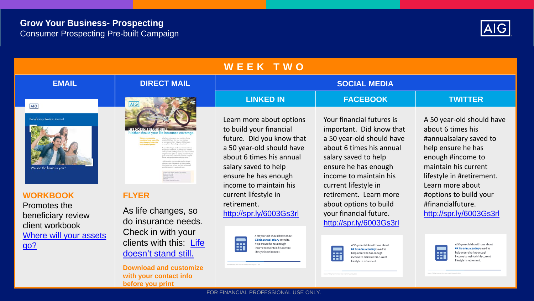## **Grow Your Business- Prospecting** Consumer Prospecting Pre-built Campaign



| WEEK TWO                                                                                           |                                                                                                                                                                                                                                                                                                                                                                                                                                                                                        |                                                                                                                                                                                                                     |                                                                                                                                                                                                                  |                                                                                                                                                                                              |
|----------------------------------------------------------------------------------------------------|----------------------------------------------------------------------------------------------------------------------------------------------------------------------------------------------------------------------------------------------------------------------------------------------------------------------------------------------------------------------------------------------------------------------------------------------------------------------------------------|---------------------------------------------------------------------------------------------------------------------------------------------------------------------------------------------------------------------|------------------------------------------------------------------------------------------------------------------------------------------------------------------------------------------------------------------|----------------------------------------------------------------------------------------------------------------------------------------------------------------------------------------------|
| <b>EMAIL</b>                                                                                       | <b>DIRECT MAIL</b>                                                                                                                                                                                                                                                                                                                                                                                                                                                                     | <b>SOCIAL MEDIA</b>                                                                                                                                                                                                 |                                                                                                                                                                                                                  |                                                                                                                                                                                              |
| <b>AIG</b>                                                                                         | AIG                                                                                                                                                                                                                                                                                                                                                                                                                                                                                    | <b>LINKED IN</b>                                                                                                                                                                                                    | <b>FACEBOOK</b>                                                                                                                                                                                                  | <b>TWITTER</b>                                                                                                                                                                               |
| <b>Beneficiary Review Journal</b><br>We see the future in you."                                    | should your<br>life insurance coverage<br>diseased Clief was short your main business<br>www.a.second.com/Polices.com/Addition/has<br>a you need more, in parhaps you need lat<br>I's possible that the products was selected one o<br>or the best replace for believes your policies was<br>That's why I insta all my clients to complete<br>will be calling you within the meet four dipys.<br>remps a time when see can all down tupoful<br>as more than on boot, and look at how a | Learn more about options<br>to build your financial<br>future. Did you know that<br>a 50 year-old should have<br>about 6 times his annual<br>salary saved to help<br>ensure he has enough<br>income to maintain his | Your financial futures is<br>important. Did know that<br>a 50 year-old should have<br>about 6 times his annual<br>salary saved to help<br>ensure he has enough<br>income to maintain his<br>current lifestyle in | A 50 year-old should have<br>about 6 times his<br>#annualsalary saved to<br>help ensure he has<br>enough #income to<br>maintain his current<br>lifestyle in #retirement.<br>Learn more about |
| <b>WORKBOOK</b><br>Promotes the<br>beneficiary review<br>client workbook<br>Where will your assets | <b>FLYER</b><br>As life changes, so<br>do insurance needs.<br>Check in with your                                                                                                                                                                                                                                                                                                                                                                                                       | current lifestyle in<br>retirement.<br>http://spr.ly/6003Gs3rl<br>A 50-year-old should have about<br>6X his annual salary saved to                                                                                  | retirement. Learn more<br>about options to build<br>your financial future.<br>http://spr.ly/6003Gs3rl                                                                                                            | #options to build your<br>#financialfuture.<br>http://spr.ly/6003Gs3rl                                                                                                                       |
| <u>go?</u>                                                                                         | clients with this: Life<br>doesn't stand still.                                                                                                                                                                                                                                                                                                                                                                                                                                        | $\qquad \qquad \bullet \; \bullet \; \bullet$<br>help ensure he has enough<br>B<br>income to maintain his current<br>lifestyle in retirement.                                                                       | A 50-year-old should have about<br>6X his annual salary saved to<br>help ensure he has enough<br>EEI<br>income to maintain his current<br>lifestyle in retirement                                                | A 50-year-old should have about<br>6X his annual salary saved to<br>help ensure he has enough<br>$\blacksquare$<br>income to maintain his current<br>--<br>lifestyle in retirement           |

FOR FINANCIAL PROFESSIONAL USE ONLY.

lifestyle in retirement.

**Download and customize with your contact info** 

**before you print**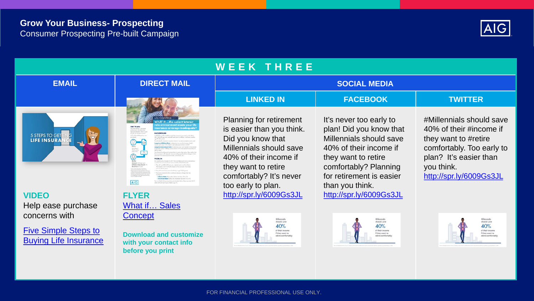

| <b>WEEK THREE</b>                                           |                                                                                                                                                                                                                                                                                                                                                                                                                                                                                                                                                                                                                                                                                                                                                                                                                                                                                                                                                                                                                                                                                                                                                                                                                                                                                                                                                                                                                                                                                                                                                                                                                                                                                                                                      |                                                                                                                                                                                                               |                                                                                                                                                                                                        |                                                                                                                                                                             |
|-------------------------------------------------------------|--------------------------------------------------------------------------------------------------------------------------------------------------------------------------------------------------------------------------------------------------------------------------------------------------------------------------------------------------------------------------------------------------------------------------------------------------------------------------------------------------------------------------------------------------------------------------------------------------------------------------------------------------------------------------------------------------------------------------------------------------------------------------------------------------------------------------------------------------------------------------------------------------------------------------------------------------------------------------------------------------------------------------------------------------------------------------------------------------------------------------------------------------------------------------------------------------------------------------------------------------------------------------------------------------------------------------------------------------------------------------------------------------------------------------------------------------------------------------------------------------------------------------------------------------------------------------------------------------------------------------------------------------------------------------------------------------------------------------------------|---------------------------------------------------------------------------------------------------------------------------------------------------------------------------------------------------------------|--------------------------------------------------------------------------------------------------------------------------------------------------------------------------------------------------------|-----------------------------------------------------------------------------------------------------------------------------------------------------------------------------|
| <b>EMAIL</b>                                                | <b>DIRECT MAIL</b>                                                                                                                                                                                                                                                                                                                                                                                                                                                                                                                                                                                                                                                                                                                                                                                                                                                                                                                                                                                                                                                                                                                                                                                                                                                                                                                                                                                                                                                                                                                                                                                                                                                                                                                   | <b>SOCIAL MEDIA</b>                                                                                                                                                                                           |                                                                                                                                                                                                        |                                                                                                                                                                             |
|                                                             |                                                                                                                                                                                                                                                                                                                                                                                                                                                                                                                                                                                                                                                                                                                                                                                                                                                                                                                                                                                                                                                                                                                                                                                                                                                                                                                                                                                                                                                                                                                                                                                                                                                                                                                                      | <b>LINKED IN</b>                                                                                                                                                                                              | <b>FACEBOOK</b>                                                                                                                                                                                        | <b>TWITTER</b>                                                                                                                                                              |
| 5 STEPS TO GET<br><b>LIFE INSURA</b>                        | .the current interest<br>ate environment made your li<br>2007 PLAN<br>nsurance coverage inadequate<br>president controllerad in<br><b>BACKOROUND</b><br>aimida far tundad islanda.<br>6.57 million stakes performance<br>in 2007. Serve LEP, associate annually the temperature to annually busydes. If<br>1) E41,000 per year, adjoint each year for relation, and Body machin<br>Joseph 230 00 ap<br>To calculate the melassaria<br>ang term billation Rates to driveries four mark is increase both<br>now each year. A 4% inholen rate week essents then in 2007<br>out have been depended Eather to Nationals follows with tracket with<br>$km \approx 2000$ .<br>That Inspected antifassionnal constants from to uninocreated and on. Their academy He<br>neverage is still solespide biconess suiting significant bar<br>class at announced funtion increasing a strong and it.<br><b>PROBLEM</b><br>But gave firm him chirami, in 2017. Sees and built ure more<br>a work of the acceptive term of and organizaty of the last desigdie<br>Ammont SASS per year.<br><b>Balan Adicatesan</b><br>They all want \$45,000 per year, subjected units year for inflation<br><b>Duretians 45 years</b><br>Protinuation's new \$54,000, hound on the Coloumny Price bulk<br>some five lead her schools.<br>Tany all annis ha incurs to look had a repa NCDS paser<br>The most conservative facts and basic desire to choose that take<br>Jollatian Rates Indian for informs note from 45. to 20.<br><b>Investment Roter Sedace the resumer con fact 7% to 4%</b><br>T.E. and a control to his training the interest and the property of the property of the Control (see<br><b>AIG</b><br>The will sell had 21 years finds younge 72. | <b>Planning for retirement</b><br>is easier than you think.<br>Did you know that<br>Millennials should save<br>40% of their income if<br>they want to retire<br>comfortably? It's never<br>too early to plan. | It's never too early to<br>plan! Did you know that<br>Millennials should save<br>40% of their income if<br>they want to retire<br>comfortably? Planning<br>for retirement is easier<br>than you think. | #Millennials should save<br>40% of their #income if<br>they want to #retire<br>comfortably. Too early to<br>plan? It's easier than<br>you think.<br>http://spr.ly/6009Gs3JL |
| <b>VIDEO</b>                                                | <b>FLYER</b>                                                                                                                                                                                                                                                                                                                                                                                                                                                                                                                                                                                                                                                                                                                                                                                                                                                                                                                                                                                                                                                                                                                                                                                                                                                                                                                                                                                                                                                                                                                                                                                                                                                                                                                         | http://spr.ly/6009Gs3JL                                                                                                                                                                                       | http://spr.ly/6009Gs3JL                                                                                                                                                                                |                                                                                                                                                                             |
| Help ease purchase                                          | What if Sales                                                                                                                                                                                                                                                                                                                                                                                                                                                                                                                                                                                                                                                                                                                                                                                                                                                                                                                                                                                                                                                                                                                                                                                                                                                                                                                                                                                                                                                                                                                                                                                                                                                                                                                        |                                                                                                                                                                                                               |                                                                                                                                                                                                        |                                                                                                                                                                             |
| concerns with                                               | <b>Concept</b>                                                                                                                                                                                                                                                                                                                                                                                                                                                                                                                                                                                                                                                                                                                                                                                                                                                                                                                                                                                                                                                                                                                                                                                                                                                                                                                                                                                                                                                                                                                                                                                                                                                                                                                       | Millennials<br>should save                                                                                                                                                                                    | Millennials<br>should save                                                                                                                                                                             | Millennials<br>should save                                                                                                                                                  |
| <b>Five Simple Steps to</b><br><b>Buying Life Insurance</b> | <b>Download and customize</b><br>with your contact info<br>before you print                                                                                                                                                                                                                                                                                                                                                                                                                                                                                                                                                                                                                                                                                                                                                                                                                                                                                                                                                                                                                                                                                                                                                                                                                                                                                                                                                                                                                                                                                                                                                                                                                                                          | 40%<br>of their income<br>if they want to<br>retire comfortably                                                                                                                                               | 40%<br>of their income<br>if they want to<br>retire comfortably                                                                                                                                        | 40%<br>of their income<br>if they want to<br>retire comfortably                                                                                                             |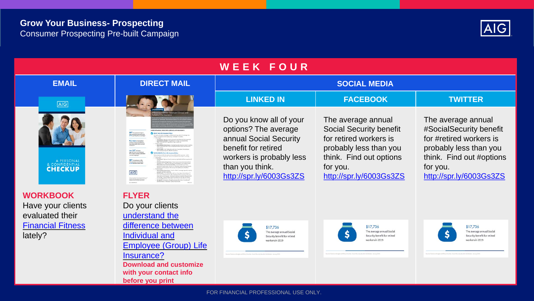**before you print**



| WEEK FOUR                                               |                                                                                                                                                                                                                                                   |                                                                                                                                                                            |                                                                                                                                                                            |                                                                                                                                                                       |
|---------------------------------------------------------|---------------------------------------------------------------------------------------------------------------------------------------------------------------------------------------------------------------------------------------------------|----------------------------------------------------------------------------------------------------------------------------------------------------------------------------|----------------------------------------------------------------------------------------------------------------------------------------------------------------------------|-----------------------------------------------------------------------------------------------------------------------------------------------------------------------|
| <b>EMAIL</b>                                            | <b>DIRECT MAIL</b>                                                                                                                                                                                                                                | <b>SOCIAL MEDIA</b>                                                                                                                                                        |                                                                                                                                                                            |                                                                                                                                                                       |
| <b>AIG</b>                                              |                                                                                                                                                                                                                                                   | <b>LINKED IN</b>                                                                                                                                                           | <b>FACEBOOK</b>                                                                                                                                                            | <b>TWITTER</b>                                                                                                                                                        |
| & CONFIDENTIAL                                          | 4.2 years in the most<br>cars 12 <sup>%</sup> at these<br>ages 10 to 34 pin employ<br>for at least 53 years with<br>current employer.<br>48 <sup>%</sup> of employers of<br>life lesurance at a benefit<br>a 23% decline since 2004<br><b>AIG</b> | Do you know all of your<br>options? The average<br>annual Social Security<br>benefit for retired<br>workers is probably less<br>than you think.<br>http://spr.ly/6003Gs3ZS | The average annual<br><b>Social Security benefit</b><br>for retired workers is<br>probably less than you<br>think. Find out options<br>for you.<br>http://spr.ly/6003Gs3ZS | The average annual<br>#SocialSecurity benefit<br>for #retired workers is<br>probably less than you<br>think. Find out #options<br>for you.<br>http://spr.ly/6003Gs3ZS |
| <b>WORKBOOK</b><br>Have your clients<br>evaluated their | <b>FLYER</b><br>Do your clients<br>understand the                                                                                                                                                                                                 |                                                                                                                                                                            |                                                                                                                                                                            |                                                                                                                                                                       |
| <b>Financial Fitness</b><br>lately?                     | difference between<br>Individual and<br><b>Employee (Group) Life</b><br>Insurance?<br><b>Download and customize</b><br>with your contact info                                                                                                     | \$17,736<br>The average annual Social<br>Security benefit for retired<br>workers in 2019                                                                                   | \$17,736<br>The average annual Social<br>Security benefit for retired<br>workers in 2019                                                                                   | \$17,736<br>The average annual Social<br>Security benefit for retired<br>workers in 2019                                                                              |